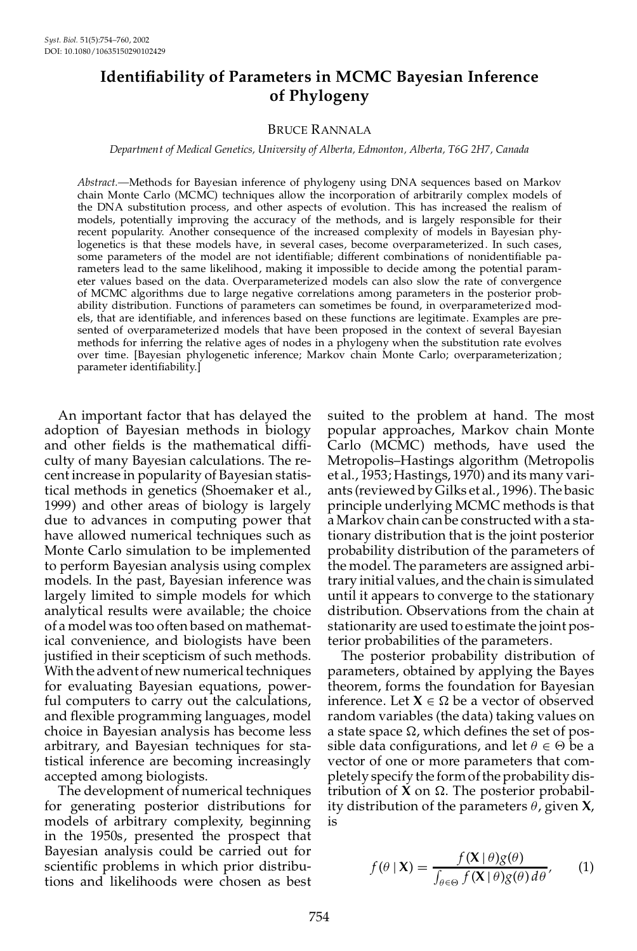# **Identiability of Parameters in MCMC Bayesian Inference of Phylogeny**

# BRUCE RANNALA

### *Department of Medical Genetics, University of Alberta, Edmonton, Alberta, T6G 2H7, Canada*

*Abstract.—*Methods for Bayesian inference of phylogeny using DNA sequences based on Markov chain Monte Carlo (MCMC) techniques allow the incorporation of arbitrarily complex models of the DNA substitution process, and other aspects of evolution. This has increased the realism of models, potentially improving the accuracy of the methods, and is largely responsible for their recent popularity. Another consequence of the increased complexity of models in Bayesian phylogenetics is that these models have, in several cases, become overparameterized. In such cases, some parameters of the model are not identifiable; different combinations of nonidentifiable parameters lead to the same likelihood, making it impossible to decide among the potential param eter values based on the data. Overparameterized models can also slow the rate of convergence of MCMC algorithms due to large negative correlations among parameters in the posterior prob ability distribution. Functions of parameters can sometimes be found, in overparameterized mod els, that are identiable, and inferences based on these functions are legitimate. Examples are pre sented of overparameterized models that have been proposed in the context of several Bayesian methods for inferring the relative ages of nodes in a phylogeny when the substitution rate evolves over time. [Bayesian phylogenetic inference; Markov chain Monte Carlo; overparameterization ; parameter identifiability.]

An important factor that has delayed the adoption of Bayesian methods in biology and other fields is the mathematical difficulty of many Bayesian calculations. The re cent increase in popularity of Bayesian statistical methods in genetics (Shoemaker et al., 1999) and other areas of biology is largely due to advances in computing power that have allowed numerical techniques such as Monte Carlo simulation to be implemented to perform Bayesian analysis using complex models. In the past, Bayesian inference was largely limited to simple models for which analytical results were available; the choice of a model was too often based on mathematical convenience, and biologists have been justified in their scepticism of such methods. With the advent of new numerical techniques for evaluating Bayesian equations, powerful computers to carry out the calculations, and flexible programming languages, model choice in Bayesian analysis has become less arbitrary, and Bayesian techniques for statistical inference are becoming increasingly accepted among biologists.

The development of numerical techniques for generating posterior distributions for models of arbitrary complexity, beginning in the 1950s, presented the prospect that Bayesian analysis could be carried out for scientific problems in which prior distributions and likelihoods were chosen as best

suited to the problem at hand. The most popular approaches, Markov chain Monte Carlo (MCMC) methods, have used the Metropolis–Hastings algorithm (Metropolis et al., 1953; Hastings, 1970) and its many vari ants (reviewed by Gilks et al., 1996). The basic principle underlying MCMC methods is that a Markov chain can be constructed with a stationary distribution that is the joint posterior probability distribution of the parameters of the model. The parameters are assigned arbitrary initial values, and the chain is simulated until it appears to converge to the stationary distribution. Observations from the chain at stationarity are used to estimate the joint posterior probabilities of the parameters.

The posterior probability distribution of parameters, obtained by applying the Bayes theorem, forms the foundation for Bayesian inference. Let  $X \in \Omega$  be a vector of observed random variables (the data) taking values on a state space  $\Omega$ , which defines the set of possible data configurations, and let  $\theta \in \Theta$  be a vector of one or more parameters that com pletely specify the form of the probability distribution of  $X$  on  $\Omega$ . The posterior probability distribution of the parameters  $\theta$ , given **X**, is

$$
f(\theta \mid \mathbf{X}) = \frac{f(\mathbf{X} \mid \theta)g(\theta)}{\int_{\theta \in \Theta} f(\mathbf{X} \mid \theta)g(\theta) d\theta}, \qquad (1)
$$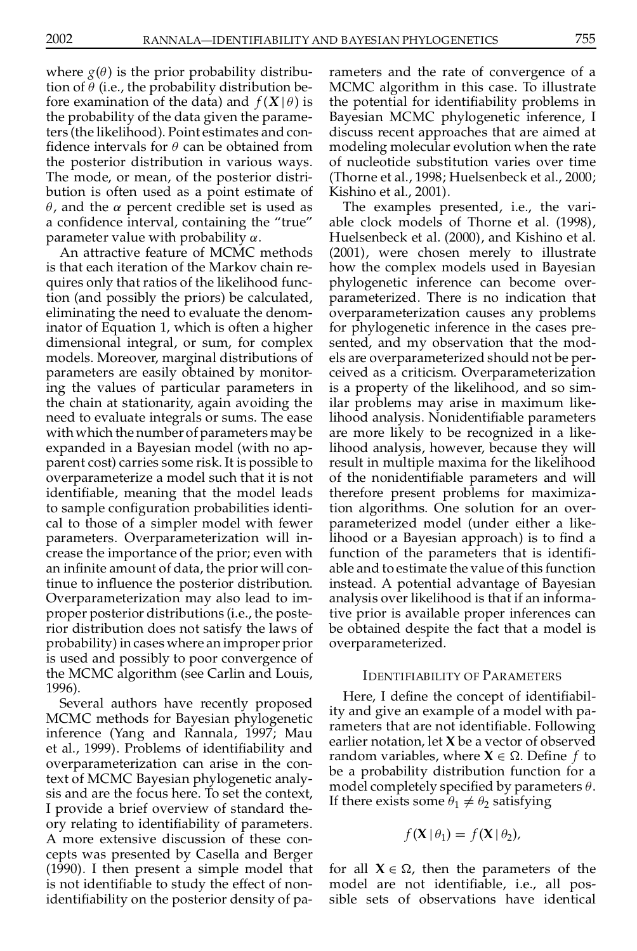where  $g(\theta)$  is the prior probability distribution of  $\theta$  (i.e., the probability distribution before examination of the data) and  $f(X|\theta)$  is the probability of the data given the parameters (the likelihood). Point estimates and con fidence intervals for  $\theta$  can be obtained from the posterior distribution in various ways. The mode, or mean, of the posterior distri bution is often used as a point estimate of  $\theta$ , and the  $\alpha$  percent credible set is used as a confidence interval, containing the "true" parameter value with probability  $\alpha$ .

An attractive feature of MCMC methods is that each iteration of the Markov chain re quires only that ratios of the likelihood function (and possibly the priors) be calculated, eliminating the need to evaluate the denominator of Equation 1, which is often a higher dimensional integral, or sum, for complex models. Moreover, marginal distributions of parameters are easily obtained by monitoring the values of particular parameters in the chain at stationarity, again avoiding the need to evaluate integrals or sums. The ease with which the number of parameters may be expanded in a Bayesian model (with no ap parent cost) carries some risk. It is possible to overparameterize a model such that it is not identiable, meaning that the model leads to sample configuration probabilities identical to those of a simpler model with fewer parameters. Overparameterization will in crease the importance of the prior; even with an infinite amount of data, the prior will continue to influence the posterior distribution. Overparameterization may also lead to im proper posterior distributions (i.e., the poste rior distribution does not satisfy the laws of probability) in cases where an improper prior is used and possibly to poor convergence of the MCMC algorithm (see Carlin and Louis, 1996).

Several authors have recently proposed MCMC methods for Bayesian phylogenetic inference (Yang and Rannala, 1997; Mau et al., 1999). Problems of identiability and overparameterization can arise in the context of MCMC Bayesian phylogenetic analy sis and are the focus here. To set the context, I provide a brief overview of standard the ory relating to identiability of parameters. A more extensive discussion of these con cepts was presented by Casella and Berger (1990). I then present a simple model that is not identifiable to study the effect of nonidentiability on the posterior density of parameters and the rate of convergence of a MCMC algorithm in this case. To illustrate the potential for identifiability problems in Bayesian MCMC phylogenetic inference, I discuss recent approaches that are aimed at modeling molecular evolution when the rate of nucleotide substitution varies over time (Thorne et al., 1998; Huelsenbeck et al., 2000; Kishino et al., 2001).

The examples presented, i.e., the vari able clock models of Thorne et al. (1998), Huelsenbeck et al. (2000), and Kishino et al. (2001), were chosen merely to illustrate how the complex models used in Bayesian phylogenetic inference can become over parameterized. There is no indication that overparameterization causes any problems for phylogenetic inference in the cases pre sented, and my observation that the mod els are overparameterized should not be per ceived as a criticism. Overparameterization is a property of the likelihood, and so similar problems may arise in maximum likelihood analysis. Nonidentifiable parameters are more likely to be recognized in a likelihood analysis, however, because they will result in multiple maxima for the likelihood of the nonidentiable parameters and will therefore present problems for maximization algorithms. One solution for an over parameterized model (under either a likelihood or a Bayesian approach) is to find a function of the parameters that is identifiable and to estimate the value of this function instead. A potential advantage of Bayesian analysis over likelihood is that if an informative prior is available proper inferences can be obtained despite the fact that a model is overparameterized.

## IDENTIFIABILITY OF PARAMETERS

Here, I define the concept of identifiability and give an example of a model with pa rameters that are not identifiable. Following earlier notation, let **X** be a vector of observed random variables, where  $X \in \Omega$ . Define f to be a probability distribution function for a model completely specified by parameters  $\theta$ . If there exists some  $\theta_1 \neq \theta_2$  satisfying

$$
f(\mathbf{X} \mid \theta_1) = f(\mathbf{X} \mid \theta_2),
$$

for all  $X \in \Omega$ , then the parameters of the model are not identifiable, i.e., all possible sets of observations have identical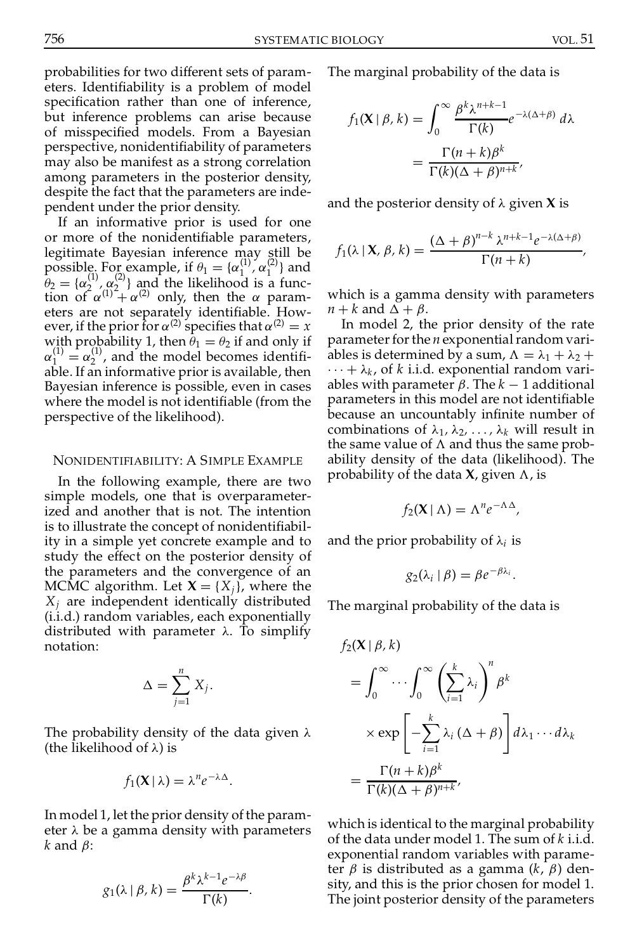probabilities for two different sets of param eters. Identiability is a problem of model specification rather than one of inference, but inference problems can arise because of misspecified models. From a Bayesian perspective, nonidentiability of parameters may also be manifest as a strong correlation among parameters in the posterior density, despite the fact that the parameters are inde pendent under the prior density.

If an informative prior is used for one or more of the nonidentifiable parameters, legitimate Bayesian inference may still be possible. For example, if  $\theta_1 = {\alpha_1^{(1)}, \alpha_1^{(2)}}$  and possible: 1 of example,  $\pi \nu_1 = (\alpha_1 \nu_2)$ <br>  $\theta_2 = {\alpha_2^{(1)} , \alpha_2^{(2)} \over (1^2 + \alpha_2^{(2)})}$  and the likelihood is  $\hat{\theta}_2 = {\alpha_2^{(1)}, \alpha_2^{(2)}}$  and the likelihood is a function of  $\alpha^{(1)} + \alpha^{(2)}$  only, then the  $\alpha$  parameters are not separately identifiable. However, if the prior for  $\alpha^{(2)}$  specifies that  $\alpha^{(2)} = x$ with probability 1, then  $\theta_1 = \theta_2$  if and only if  $\alpha_1^{(1)} = \alpha_2^{(1)}$ , and the model becomes identifi- $2^{\binom{1}{2}}$ , and the model becomes identifiable. If an informative prior is available, then  $\dots + \lambda_k$ , of k i.i.d. exponential random vari-Bayesian inference is possible, even in cases where the model is not identifiable (from the perspective of the likelihood).

### NONIDENTIFIABILITY: A SIMPLE EXAMPLE

In the following example, there are two simple models, one that is overparameterized and another that is not. The intention is to illustrate the concept of nonidentifiability in a simple yet concrete example and to study the effect on the posterior density of the parameters and the convergence of an MCMC algorithm. Let  $X = \{X_i\}$ , where the *X<sup>j</sup>* are independent identically distributed (i.i.d.) random variables, each exponentially distributed with parameter  $\lambda$ . To simplify notation:

$$
\Delta = \sum_{j=1}^n X_j.
$$

The probability density of the data given  $\lambda$ (the likelihood of  $\lambda$ ) is

$$
f_1(\mathbf{X} \mid \lambda) = \lambda^n e^{-\lambda \Delta}.
$$

In model 1, let the prior density of the param eter  $\lambda$  be a gamma density with parameters  $k$  and  $\beta$ :

$$
g_1(\lambda \mid \beta, k) = \frac{\beta^k \lambda^{k-1} e^{-\lambda \beta}}{\Gamma(k)}.
$$

The marginal probability of the data is

$$
f_1(\mathbf{X} \mid \beta, k) = \int_0^\infty \frac{\beta^k \lambda^{n+k-1}}{\Gamma(k)} e^{-\lambda(\Delta + \beta)} d\lambda
$$
  
= 
$$
\frac{\Gamma(n+k)\beta^k}{\Gamma(k)(\Delta + \beta)^{n+k}},
$$

and the posterior density of  $\lambda$  given **X** is

$$
f_1(\lambda \mid \mathbf{X}, \beta, k) = \frac{(\Delta + \beta)^{n-k} \lambda^{n+k-1} e^{-\lambda(\Delta + \beta)}}{\Gamma(n+k)},
$$

which is a gamma density with parameters  $n + k$  and  $\Delta + \beta$ .

In model 2, the prior density of the rate parameter for the *n* exponential random variables is determined by a sum,  $\Lambda = \lambda_1 + \lambda_2 +$ ables with parameter  $\beta$ . The  $k-1$  additional parameters in this model are not identifiable because an uncountably infinite number of combinations of  $\lambda_1, \lambda_2, \ldots, \lambda_k$  will result in the same value of  $\Lambda$  and thus the same probability density of the data (likelihood). The probability of the data **X**, given  $\Lambda$ , is

$$
f_2(\mathbf{X} \mid \Lambda) = \Lambda^n e^{-\Lambda \Delta},
$$

and the prior probability of  $\lambda_i$  is

$$
g_2(\lambda_i \mid \beta) = \beta e^{-\beta \lambda_i}.
$$

The marginal probability of the data is

$$
f_2(\mathbf{X} | \beta, k)
$$
  
=  $\int_0^\infty \cdots \int_0^\infty \left(\sum_{i=1}^k \lambda_i\right)^n \beta^k$   
 $\times \exp\left[-\sum_{i=1}^k \lambda_i (\Delta + \beta)\right] d\lambda_1 \cdots d\lambda_k$   
=  $\frac{\Gamma(n+k)\beta^k}{\Gamma(k)(\Delta + \beta)^{n+k'}}$ 

which is identical to the marginal probability of the data under model 1. The sum of *k* i.i.d. exponential random variables with parameter  $\beta$  is distributed as a gamma  $(k, \beta)$  density, and this is the prior chosen for model 1. The joint posterior density of the parameters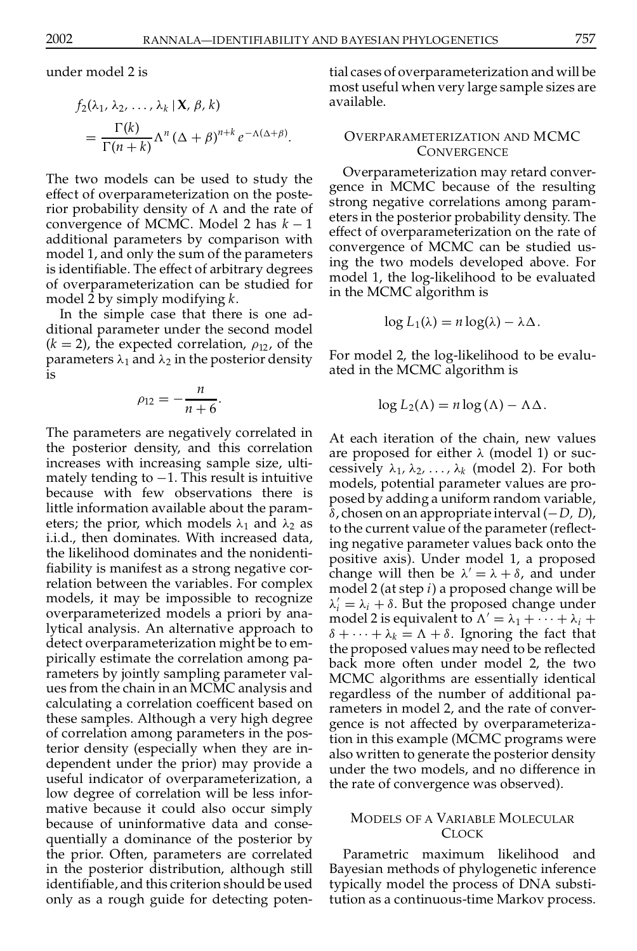under model 2 is

$$
f_2(\lambda_1, \lambda_2, \dots, \lambda_k | \mathbf{X}, \beta, k)
$$
  
= 
$$
\frac{\Gamma(k)}{\Gamma(n+k)} \Lambda^n (\Delta + \beta)^{n+k} e^{-\Lambda(\Delta + \beta)}.
$$

The two models can be used to study the effect of overparameterization on the poste rior probability density of  $\Lambda$  and the rate of convergence of MCMC. Model 2 has  $k-1$ additional parameters by comparison with model 1, and only the sum of the parameters is identifiable. The effect of arbitrary degrees of overparameterization can be studied for model 2 by simply modifying *k*.

In the simple case that there is one ad ditional parameter under the second model  $(k = 2)$ , the expected correlation,  $\rho_{12}$ , of the parameters  $\lambda_1$  and  $\lambda_2$  in the posterior density is

$$
\rho_{12}=-\frac{n}{n+6}.
$$

The parameters are negatively correlated in the posterior density, and this correlation increases with increasing sample size, ulti mately tending to  $-1$ . This result is intuitive because with few observations there is little information available about the param eters; the prior, which models  $\lambda_1$  and  $\lambda_2$  as i.i.d., then dominates. With increased data, the likelihood dominates and the nonidenti fiability is manifest as a strong negative correlation between the variables. For complex models, it may be impossible to recognize overparameterized models a priori by analytical analysis. An alternative approach to detect overparameterization might be to em pirically estimate the correlation among pa rameters by jointly sampling parameter val ues from the chain in an MCMC analysis and calculating a correlation coefficent based on these samples. Although a very high degree of correlation among parameters in the posterior density (especially when they are in dependent under the prior) may provide a useful indicator of overparameterization, a low degree of correlation will be less infor mative because it could also occur simply because of uninformative data and conse quentially a dominance of the posterior by the prior. Often, parameters are correlated in the posterior distribution, although still identiable, and this criterion should be used only as a rough guide for detecting potential cases of overparameterization and will be most useful when very large sample sizes are available.

# OVERPARAMETERIZATION AND MCMC **CONVERGENCE**

Overparameterization may retard conver gence in MCMC because of the resulting strong negative correlations among param eters in the posterior probability density. The effect of overparameterization on the rate of convergence of MCMC can be studied using the two models developed above. For model 1, the log-likelihood to be evaluated in the MCMC algorithm is

$$
\log L_1(\lambda) = n \log(\lambda) - \lambda \Delta.
$$

For model 2, the log-likelihood to be evalu ated in the MCMC algorithm is

$$
\log L_2(\Lambda) = n \log(\Lambda) - \Lambda \Delta.
$$

At each iteration of the chain, new values are proposed for either  $\lambda$  (model 1) or successively  $\lambda_1, \lambda_2, \ldots, \lambda_k$  (model 2). For both models, potential parameter values are pro posed by adding a uniform random variable,  $\delta$ , chosen on an appropriate interval  $(-D, D)$ , to the current value of the parameter (reflecting negative parameter values back onto the positive axis). Under model 1, a proposed change will then be  $\lambda' = \lambda + \delta$ , and under model 2 (at step *i*) a proposed change will be  $\lambda'_i = \lambda_i + \delta$ . But the proposed change under model 2 is equivalent to  $\Lambda' = \lambda_1 + \cdots + \lambda_i + \lambda_k$  $\delta + \cdots + \lambda_k = \Lambda + \delta$ . Ignoring the fact that the proposed values may need to be reflected back more often under model 2, the two MCMC algorithms are essentially identical regardless of the number of additional pa rameters in model 2, and the rate of conver gence is not affected by overparameterization in this example (MCMC programs were also written to generate the posterior density under the two models, and no difference in the rate of convergence was observed).

### MODELS OF A VARIABLE MOLECULAR **CLOCK**

Parametric maximum likelihood and Bayesian methods of phylogenetic inference typically model the process of DNA substitution as a continuous-time Markov process.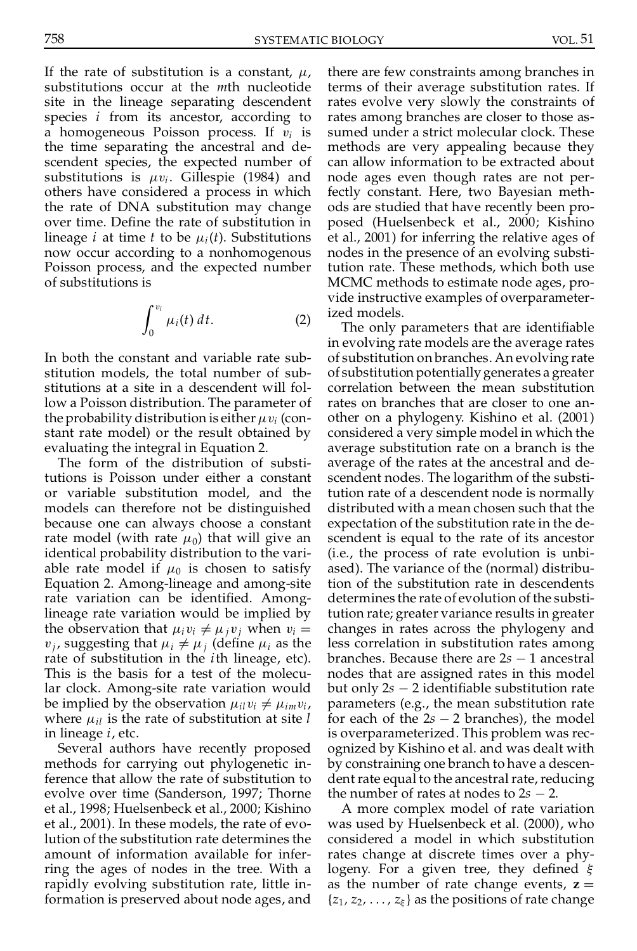758 SYSTEMATIC BIOLOGY VOL. 51

If the rate of substitution is a constant,  $\mu$ , substitutions occur at the *m*th nucleotide site in the lineage separating descendent species *i* from its ancestor, according to a homogeneous Poisson process. If v*<sup>i</sup>* is the time separating the ancestral and de scendent species, the expected number of substitutions is  $\mu v_i$ . Gillespie (1984) and others have considered a process in which the rate of DNA substitution may change over time. Define the rate of substitution in lineage *i* at time *t* to be  $\mu_i(t)$ . Substitutions now occur according to a nonhomogenous Poisson process, and the expected number of substitutions is

$$
\int_0^{v_i} \mu_i(t) dt.
$$
 (2)

In both the constant and variable rate sub stitution models, the total number of sub stitutions at a site in a descendent will follow a Poisson distribution. The parameter of the probability distribution is either  $\mu v_i$  (constant rate model) or the result obtained by evaluating the integral in Equation 2.

The form of the distribution of substitutions is Poisson under either a constant or variable substitution model, and the models can therefore not be distinguished because one can always choose a constant rate model (with rate  $\mu_0$ ) that will give an identical probability distribution to the vari able rate model if  $\mu_0$  is chosen to satisfy Equation 2.Among-lineage and among-site rate variation can be identified. Amonglineage rate variation would be implied by the observation that  $\mu_i v_i \neq \mu_j v_j$  when  $v_i =$  $v_i$ , suggesting that  $\mu_i \neq \mu_j$  (define  $\mu_i$  as the rate of substitution in the *i*th lineage, etc). This is the basis for a test of the molecular clock. Among-site rate variation would be implied by the observation  $\mu_{il}v_i \neq \mu_{im}v_i$ , where  $\mu_{il}$  is the rate of substitution at site *l* in lineage *i*, etc.

Several authors have recently proposed methods for carrying out phylogenetic inference that allow the rate of substitution to evolve over time (Sanderson, 1997; Thorne et al., 1998; Huelsenbeck et al., 2000; Kishino et al., 2001). In these models, the rate of evolution of the substitution rate determines the amount of information available for infer ring the ages of nodes in the tree. With a rapidly evolving substitution rate, little information is preserved about node ages, and

there are few constraints among branches in terms of their average substitution rates. If rates evolve very slowly the constraints of rates among branches are closer to those as sumed under a strict molecular clock. These methods are very appealing because they can allow information to be extracted about node ages even though rates are not perfectly constant. Here, two Bayesian meth ods are studied that have recently been pro posed (Huelsenbeck et al., 2000; Kishino et al., 2001) for inferring the relative ages of nodes in the presence of an evolving substitution rate. These methods, which both use MCMC methods to estimate node ages, pro vide instructive examples of overparameterized models.

The only parameters that are identifiable in evolving rate models are the average rates of substitution on branches. An evolving rate of substitution potentially generates a greater correlation between the mean substitution rates on branches that are closer to one an other on a phylogeny. Kishino et al. (2001) considered a very simple model in which the average substitution rate on a branch is the average of the rates at the ancestral and de scendent nodes. The logarithm of the substitution rate of a descendent node is normally distributed with a mean chosen such that the expectation of the substitution rate in the de scendent is equal to the rate of its ancestor (i.e., the process of rate evolution is unbi ased). The variance of the (normal) distribution of the substitution rate in descendents determines the rate of evolution of the substitution rate; greater variance results in greater changes in rates across the phylogeny and less correlation in substitution rates among branches. Because there are  $2s - 1$  ancestral nodes that are assigned rates in this model but only  $2s - 2$  identifiable substitution rate parameters (e.g., the mean substitution rate for each of the  $2s - 2$  branches), the model is overparameterized. This problem was rec ognized by Kishino et al. and was dealt with by constraining one branch to have a descen dent rate equal to the ancestral rate, reducing the number of rates at nodes to  $2s - 2$ .

A more complex model of rate variation was used by Huelsenbeck et al. (2000), who considered a model in which substitution rates change at discrete times over a phylogeny. For a given tree, they defined  $\xi$ as the number of rate change events,  $z =$  $\{z_1, z_2, \ldots, z_{\xi}\}\$ as the positions of rate change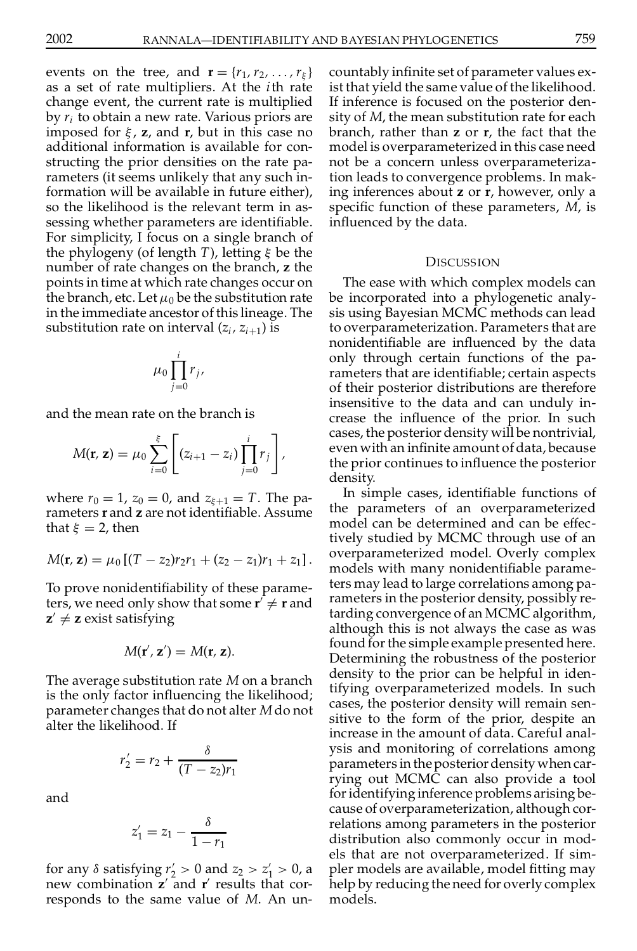events on the tree, and  $\mathbf{r} = \{r_1, r_2, \ldots, r_{\xi}\}\$ as a set of rate multipliers. At the *i*th rate change event, the current rate is multiplied by *r<sup>i</sup>* to obtain a new rate. Various priors are imposed for  $\xi$ , **z**, and **r**, but in this case no additional information is available for con structing the prior densities on the rate pa rameters (it seems unlikely that any such information will be available in future either), so the likelihood is the relevant term in as sessing whether parameters are identifiable. For simplicity, I focus on a single branch of the phylogeny (of length *T*), letting  $\xi$  be the number of rate changes on the branch, **z** the points in time at which rate changes occur on the branch, etc. Let  $\mu_0$  be the substitution rate in the immediate ancestor of this lineage. The substitution rate on interval  $(z_i, z_{i+1})$  is

$$
\mu_0 \prod_{j=0}^i r_j,
$$

and the mean rate on the branch is

$$
M(\mathbf{r}, \mathbf{z}) = \mu_0 \sum_{i=0}^{\xi} \left[ (z_{i+1} - z_i) \prod_{j=0}^{i} r_j \right],
$$

where  $r_0 = 1$ ,  $z_0 = 0$ , and  $z_{\xi+1} = T$ . The parameters **r** and **z** are not identifiable. Assume that  $\xi = 2$ , then

$$
M(\mathbf{r},\mathbf{z})=\mu_0\left[(T-z_2)r_2r_1+(z_2-z_1)r_1+z_1\right].
$$

To prove nonidentiability of these parameters, we need only show that some  $\mathbf{r}' \neq \mathbf{r}$  and  $\mathbf{r}$  $\mathbf{z}' \neq \mathbf{z}$  exist satisfying

$$
M(\mathbf{r}',\mathbf{z}')=M(\mathbf{r},\mathbf{z}).
$$

The average substitution rate *M* on a branch is the only factor influencing the likelihood; parameter changes that do not alter *M*do not alter the likelihood. If

$$
r_2' = r_2 + \frac{\delta}{(T - z_2)r_1}
$$

and

$$
z'_1=z_1-\frac{\delta}{1-r_1}
$$

for any  $\delta$  satisfying  $r'_2 > 0$  and  $z_2 > z'_1 > 0$ , a new combination **z**' and **r**' results that corresponds to the same value of *M*. An un-

countably infinite set of parameter values exist that yield the same value of the likelihood. If inference is focused on the posterior den sity of *M*, the mean substitution rate for each branch, rather than **z** or **r**, the fact that the model is overparameterized in this case need not be a concern unless overparameterization leads to convergence problems. In making inferences about **z** or **r**, however, only a specific function of these parameters, *M*, is influenced by the data.

### DISCUSSION

The ease with which complex models can be incorporated into a phylogenetic analy sis using Bayesian MCMC methods can lead to overparameterization. Parameters that are nonidentifiable are influenced by the data only through certain functions of the pa rameters that are identifiable; certain aspects of their posterior distributions are therefore insensitive to the data and can unduly in crease the influence of the prior. In such cases, the posterior density will be nontrivial, even with an infinite amount of data, because the prior continues to influence the posterior density.

In simple cases, identifiable functions of the parameters of an overparameterized model can be determined and can be effectively studied by MCMC through use of an overparameterized model. Overly complex models with many nonidentifiable parameters may lead to large correlations among pa rameters in the posterior density, possibly retarding convergence of an MCMC algorithm, although this is not always the case as was found for the simple example presented here. Determining the robustness of the posterior density to the prior can be helpful in identifying overparameterized models. In such cases, the posterior density will remain sen sitive to the form of the prior, despite an increase in the amount of data. Careful anal ysis and monitoring of correlations among parameters in the posterior density when carrying out MCMC can also provide a tool foridentifying inference problems arising be cause of overparameterization, although cor relations among parameters in the posterior distribution also commonly occur in mod els that are not overparameterized. If sim pler models are available, model tting may help by reducing the need for overly complex models.